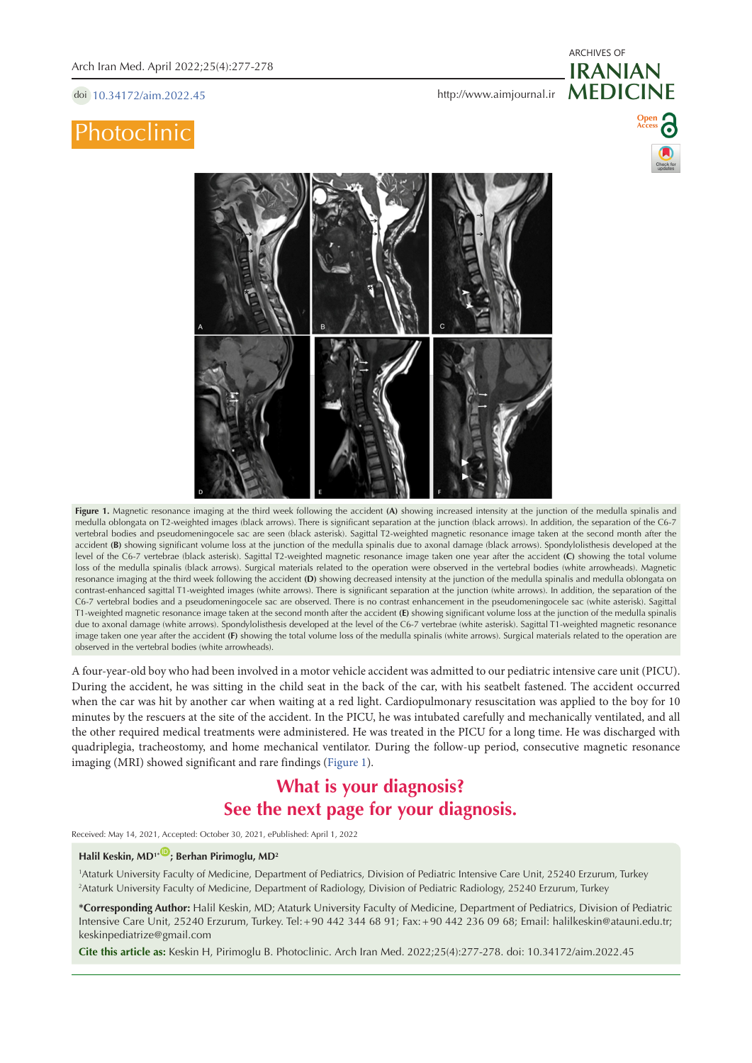doi [10.34172/aim.2022.45](https://doi.org/10.34172/aim.2022.45)

# **Photoclinic**



**Figure 1.** Magnetic resonance imaging at the third week following the accident **(A)** showing increased intensity at the junction of the medulla spinalis and medulla oblongata on T2-weighted images (black arrows). There is significant separation at the junction (black arrows). In addition, the separation of the C6-7 vertebral bodies and pseudomeningocele sac are seen (black asterisk). Sagittal T2-weighted magnetic resonance image taken at the second month after the accident (B) showing significant volume loss at the junction of the medulla spinalis due to axonal damage (black arrows). Spondylolisthesis developed at the level of the C6-7 vertebrae (black asterisk). Sagittal T2-weighted magnetic resonance image taken one year after the accident **(C)** showing the total volume loss of the medulla spinalis (black arrows). Surgical materials related to the operation were observed in the vertebral bodies (white arrowheads). Magnetic resonance imaging at the third week following the accident **(D)** showing decreased intensity at the junction of the medulla spinalis and medulla oblongata on contrast-enhanced sagittal T1-weighted images (white arrows). There is significant separation at the junction (white arrows). In addition, the separation of the C6-7 vertebral bodies and a pseudomeningocele sac are observed. There is no contrast enhancement in the pseudomeningocele sac (white asterisk). Sagittal T1-weighted magnetic resonance image taken at the second month after the accident **(E)** showing significant volume loss at the junction of the medulla spinalis due to axonal damage (white arrows). Spondylolisthesis developed at the level of the C6-7 vertebrae (white asterisk). Sagittal T1-weighted magnetic resonance image taken one year after the accident **(F)** showing the total volume loss of the medulla spinalis (white arrows). Surgical materials related to the operation are observed in the vertebral bodies (white arrowheads).

A four-year-old boy who had been involved in a motor vehicle accident was admitted to our pediatric intensive care unit (PICU). During the accident, he was sitting in the child seat in the back of the car, with his seatbelt fastened. The accident occurred when the car was hit by another car when waiting at a red light. Cardiopulmonary resuscitation was applied to the boy for 10 minutes by the rescuers at the site of the accident. In the PICU, he was intubated carefully and mechanically ventilated, and all the other required medical treatments were administered. He was treated in the PICU for a long time. He was discharged with quadriplegia, tracheostomy, and home mechanical ventilator. During the follow-up period, consecutive magnetic resonance imaging (MRI) showed significant and rare findings [\(Figure](#page-0-0) 1).

## **What is your diagnosis? See the next page for your diagnosis.**

Received: May 14, 2021, Accepted: October 30, 2021, ePublished: April 1, 2022

## Halil Keskin, MD<sup>1\*</sub><sup>(1)</sup>; Berhan Pirimoglu, MD<sup>2</sup></sup>

1 Ataturk University Faculty of Medicine, Department of Pediatrics, Division of Pediatric Intensive Care Unit, 25240 Erzurum, Turkey 2 Ataturk University Faculty of Medicine, Department of Radiology, Division of Pediatric Radiology, 25240 Erzurum, Turkey

**\*Corresponding Author:** Halil Keskin, MD; Ataturk University Faculty of Medicine, Department of Pediatrics, Division of Pediatric Intensive Care Unit, 25240 Erzurum, Turkey. Tel:+90 442 344 68 91; Fax:+90 442 236 09 68; Email: halilkeskin@atauni.edu.tr; keskinpediatrize@gmail.com

**Cite this article as:** Keskin H, Pirimoglu B. Photoclinic. Arch Iran Med. 2022;25(4):277-278. doi: 10.34172/aim.2022.45

<span id="page-0-0"></span>